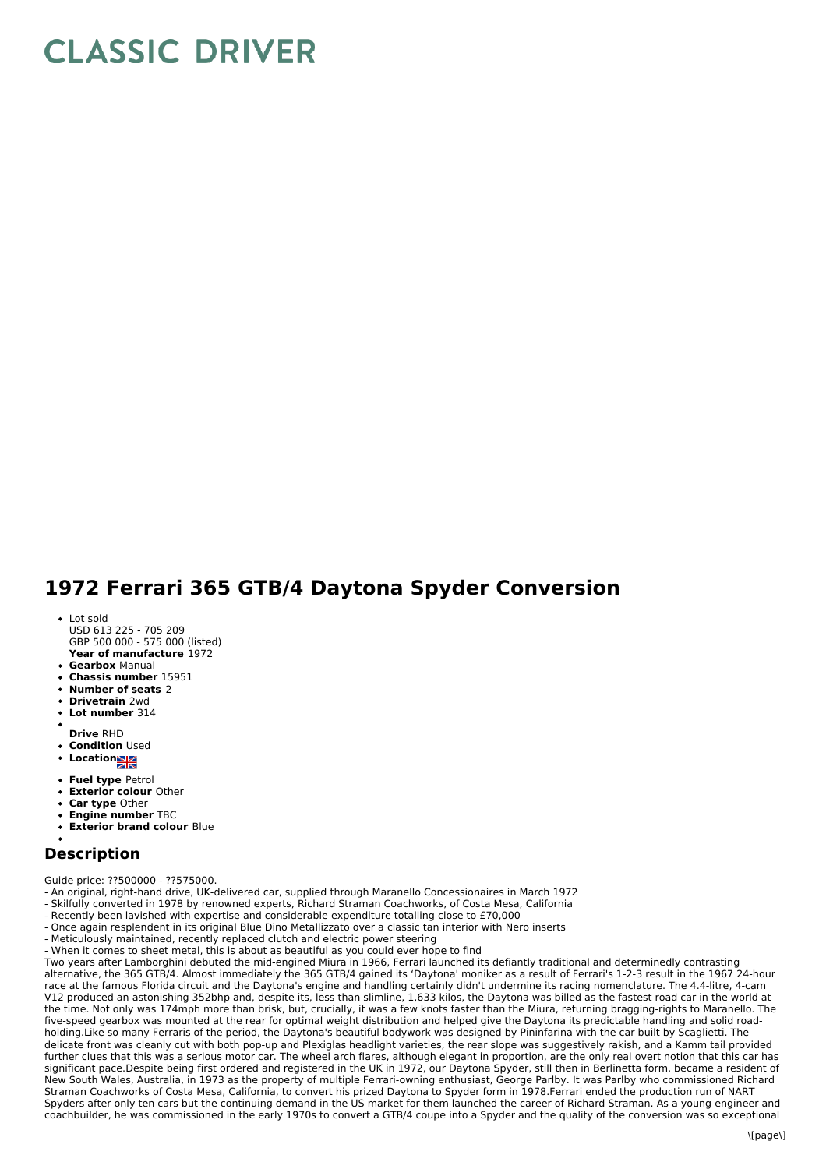## **CLASSIC DRIVER**

## **1972 Ferrari 365 GTB/4 Daytona Spyder Conversion**

- **Year of manufacture** 1972 Lot sold USD 613 225 - 705 209 GBP 500 000 - 575 000 (listed)
- **Gearbox** Manual
- **Chassis number** 15951
- **Number of seats** 2
- **Drivetrain** 2wd
- **Lot number** 314
- 
- **Drive** RHD
- **Condition** Used
- **Locations**
- 
- **Fuel type** Petrol
- **Exterior colour** Other
- **Car type** Other
- **Engine number** TBC
- **Exterior brand colour** Blue

## **Description**

Guide price: ??500000 - ??575000.

- An original, right-hand drive, UK-delivered car, supplied through Maranello Concessionaires in March 1972

- Skilfully converted in 1978 by renowned experts, Richard Straman Coachworks, of Costa Mesa, California
- Recently been lavished with expertise and considerable expenditure totalling close to £70,000
- Once again resplendent in its original Blue Dino Metallizzato over a classic tan interior with Nero inserts
- Meticulously maintained, recently replaced clutch and electric power steering
- When it comes to sheet metal, this is about as beautiful as you could ever hope to find

Two years after Lamborghini debuted the mid-engined Miura in 1966, Ferrari launched its defiantly traditional and determinedly contrasting alternative, the 365 GTB/4. Almost immediately the 365 GTB/4 gained its 'Daytona' moniker as a result of Ferrari's 1-2-3 result in the 1967 24-hour race at the famous Florida circuit and the Daytona's engine and handling certainly didn't undermine its racing nomenclature. The 4.4-litre, 4-cam V12 produced an astonishing 352bhp and, despite its, less than slimline, 1,633 kilos, the Daytona was billed as the fastest road car in the world at the time. Not only was 174mph more than brisk, but, crucially, it was a few knots faster than the Miura, returning bragging-rights to Maranello. The five-speed gearbox was mounted at the rear for optimal weight distribution and helped give the Daytona its predictable handling and solid roadholding.Like so many Ferraris of the period, the Daytona's beautiful bodywork was designed by Pininfarina with the car built by Scaglietti. The delicate front was cleanly cut with both pop-up and Plexiglas headlight varieties, the rear slope was suggestively rakish, and a Kamm tail provided further clues that this was a serious motor car. The wheel arch flares, although elegant in proportion, are the only real overt notion that this car has significant pace.Despite being first ordered and registered in the UK in 1972, our Daytona Spyder, still then in Berlinetta form, became a resident of New South Wales, Australia, in 1973 as the property of multiple Ferrari-owning enthusiast, George Parlby. It was Parlby who commissioned Richard Straman Coachworks of Costa Mesa, California, to convert his prized Daytona to Spyder form in 1978.Ferrari ended the production run of NART Spyders after only ten cars but the continuing demand in the US market for them launched the career of Richard Straman. As a young engineer and coachbuilder, he was commissioned in the early 1970s to convert a GTB/4 coupe into a Spyder and the quality of the conversion was so exceptional